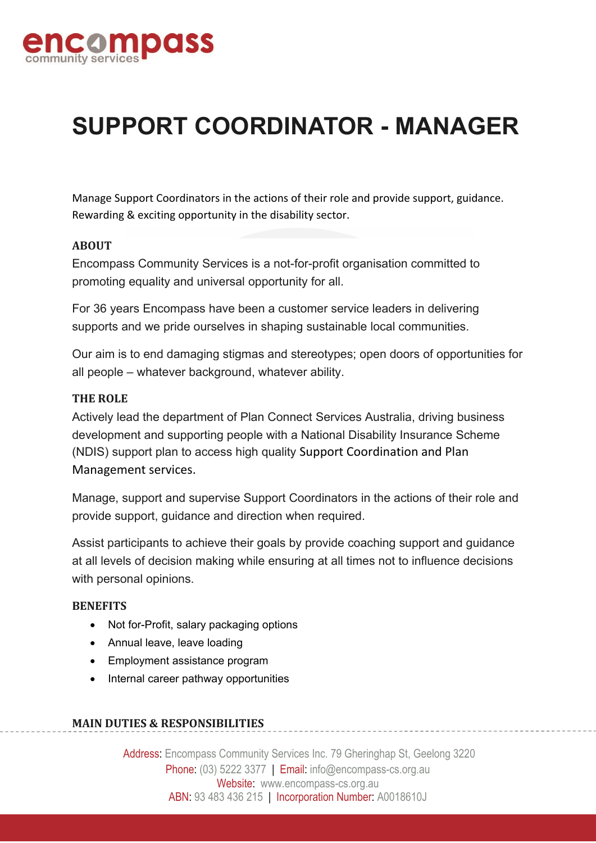

# **SUPPORT COORDINATOR - MANAGER**

Manage Support Coordinators in the actions of their role and provide support, guidance. Rewarding & exciting opportunity in the disability sector.

## **ABOUT**

Encompass Community Services is a not-for-profit organisation committed to promoting equality and universal opportunity for all.

For 36 years Encompass have been a customer service leaders in delivering supports and we pride ourselves in shaping sustainable local communities.

Our aim is to end damaging stigmas and stereotypes; open doors of opportunities for all people – whatever background, whatever ability.

#### **THE ROLE**

Actively lead the department of Plan Connect Services Australia, driving business development and supporting people with a National Disability Insurance Scheme (NDIS) support plan to access high quality Support Coordination and Plan Management services.

Manage, support and supervise Support Coordinators in the actions of their role and provide support, guidance and direction when required.

Assist participants to achieve their goals by provide coaching support and guidance at all levels of decision making while ensuring at all times not to influence decisions with personal opinions.

#### **BENEFITS**

- Not for-Profit, salary packaging options
- Annual leave, leave loading
- Employment assistance program
- Internal career pathway opportunities

# **MAIN DUTIES & RESPONSIBILITIES**

Address: Encompass Community Services Inc. 79 Gheringhap St, Geelong 3220 Phone: (03) 5222 3377 | Email: info@encompass-cs.org.au Website: www.encompass-cs.org.au ABN: 93 483 436 215 | Incorporation Number: A0018610J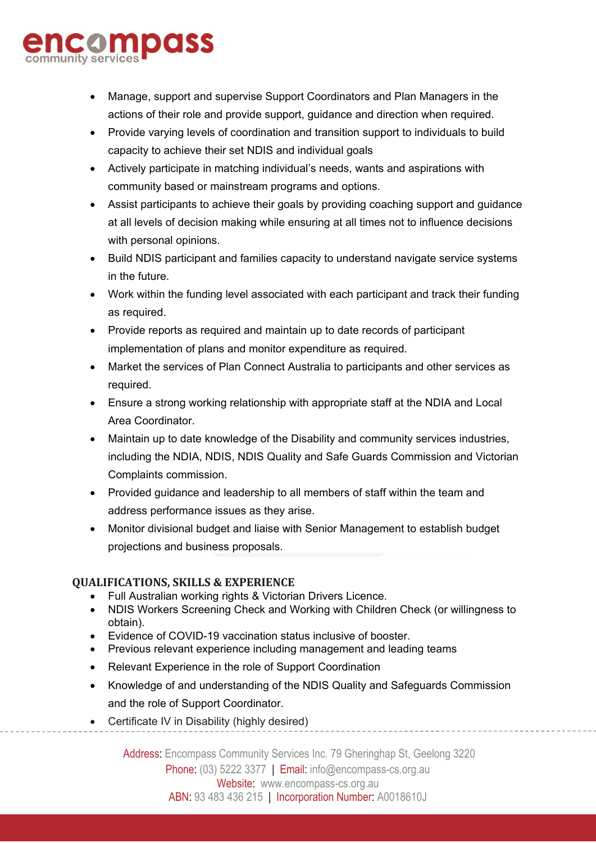# composs

- Manage, support and supervise Support Coordinators and Plan Managers in the actions of their role and provide support, guidance and direction when required.
- Provide varying levels of coordination and transition support to individuals to build capacity to achieve their set NDIS and individual goals
- Actively participate in matching individual's needs, wants and aspirations with community based or mainstream programs and options.
- Assist participants to achieve their goals by providing coaching support and guidance at all levels of decision making while ensuring at all times not to influence decisions with personal opinions.
- Build NDIS participant and families capacity to understand navigate service systems in the future.
- Work within the funding level associated with each participant and track their funding as required.
- Provide reports as required and maintain up to date records of participant implementation of plans and monitor expenditure as required.
- Market the services of Plan Connect Australia to participants and other services as required.
- Ensure a strong working relationship with appropriate staff at the NDIA and Local Area Coordinator.
- Maintain up to date knowledge of the Disability and community services industries, including the NDIA, NDIS, NDIS Quality and Safe Guards Commission and Victorian Complaints commission.
- Provided guidance and leadership to all members of staff within the team and address performance issues as they arise.
- Monitor divisional budget and liaise with Senior Management to establish budget projections and business proposals.

# **QUALIFICATIONS, SKILLS & EXPERIENCE**

- Full Australian working rights & Victorian Drivers Licence.
- NDIS Workers Screening Check and Working with Children Check (or willingness to obtain).
- Evidence of COVID-19 vaccination status inclusive of booster.
- Previous relevant experience including management and leading teams
- Relevant Experience in the role of Support Coordination
- Knowledge of and understanding of the NDIS Quality and Safeguards Commission and the role of Support Coordinator.
- Certificate IV in Disability (highly desired)